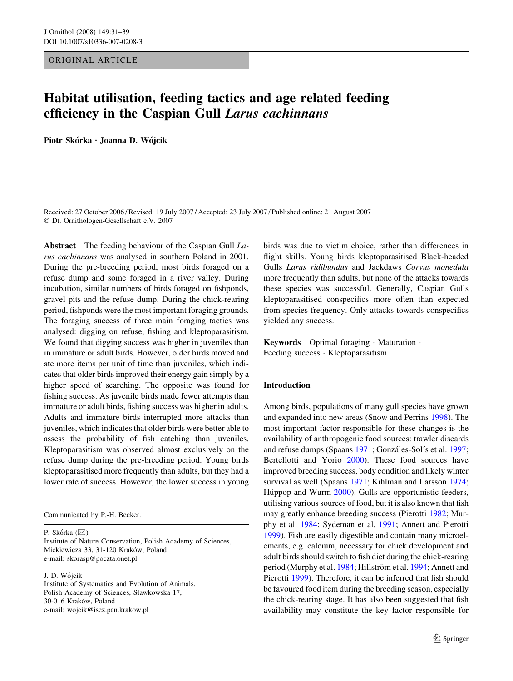## ORIGINAL ARTICLE

# Habitat utilisation, feeding tactics and age related feeding efficiency in the Caspian Gull Larus cachinnans

Piotr Skórka · Joanna D. Wójcik

Received: 27 October 2006 / Revised: 19 July 2007 / Accepted: 23 July 2007 / Published online: 21 August 2007 Dt. Ornithologen-Gesellschaft e.V. 2007

Abstract The feeding behaviour of the Caspian Gull Larus cachinnans was analysed in southern Poland in 2001. During the pre-breeding period, most birds foraged on a refuse dump and some foraged in a river valley. During incubation, similar numbers of birds foraged on fishponds, gravel pits and the refuse dump. During the chick-rearing period, fishponds were the most important foraging grounds. The foraging success of three main foraging tactics was analysed: digging on refuse, fishing and kleptoparasitism. We found that digging success was higher in juveniles than in immature or adult birds. However, older birds moved and ate more items per unit of time than juveniles, which indicates that older birds improved their energy gain simply by a higher speed of searching. The opposite was found for fishing success. As juvenile birds made fewer attempts than immature or adult birds, fishing success was higher in adults. Adults and immature birds interrupted more attacks than juveniles, which indicates that older birds were better able to assess the probability of fish catching than juveniles. Kleptoparasitism was observed almost exclusively on the refuse dump during the pre-breeding period. Young birds kleptoparasitised more frequently than adults, but they had a lower rate of success. However, the lower success in young

Communicated by P.-H. Becker.

P. Skórka  $(\boxtimes)$ Institute of Nature Conservation, Polish Academy of Sciences, Mickiewicza 33, 31-120 Kraków, Poland

e-mail: skorasp@poczta.onet.pl J. D. Wójcik

Institute of Systematics and Evolution of Animals, Polish Academy of Sciences, Sławkowska 17, 30-016 Kraków, Poland e-mail: wojcik@isez.pan.krakow.pl

birds was due to victim choice, rather than differences in flight skills. Young birds kleptoparasitised Black-headed Gulls Larus ridibundus and Jackdaws Corvus monedula more frequently than adults, but none of the attacks towards these species was successful. Generally, Caspian Gulls kleptoparasitised conspecifics more often than expected from species frequency. Only attacks towards conspecifics yielded any success.

**Keywords** Optimal foraging  $\cdot$  Maturation  $\cdot$ Feeding success · Kleptoparasitism

## Introduction

Among birds, populations of many gull species have grown and expanded into new areas (Snow and Perrins [1998](#page-8-0)). The most important factor responsible for these changes is the availability of anthropogenic food sources: trawler discards and refuse dumps (Spaans [1971](#page-8-0); Gonzáles-Solís et al. [1997](#page-8-0); Bertellotti and Yorio [2000\)](#page-8-0). These food sources have improved breeding success, body condition and likely winter survival as well (Spaans [1971;](#page-8-0) Kihlman and Larsson [1974](#page-8-0); Hüppop and Wurm [2000\)](#page-8-0). Gulls are opportunistic feeders, utilising various sources of food, but it is also known that fish may greatly enhance breeding success (Pierotti [1982](#page-8-0); Murphy et al. [1984;](#page-8-0) Sydeman et al. [1991;](#page-8-0) Annett and Pierotti [1999](#page-8-0)). Fish are easily digestible and contain many microelements, e.g. calcium, necessary for chick development and adult birds should switch to fish diet during the chick-rearing period (Murphy et al. [1984](#page-8-0); Hillström et al. [1994](#page-8-0); Annett and Pierotti [1999](#page-8-0)). Therefore, it can be inferred that fish should be favoured food item during the breeding season, especially the chick-rearing stage. It has also been suggested that fish availability may constitute the key factor responsible for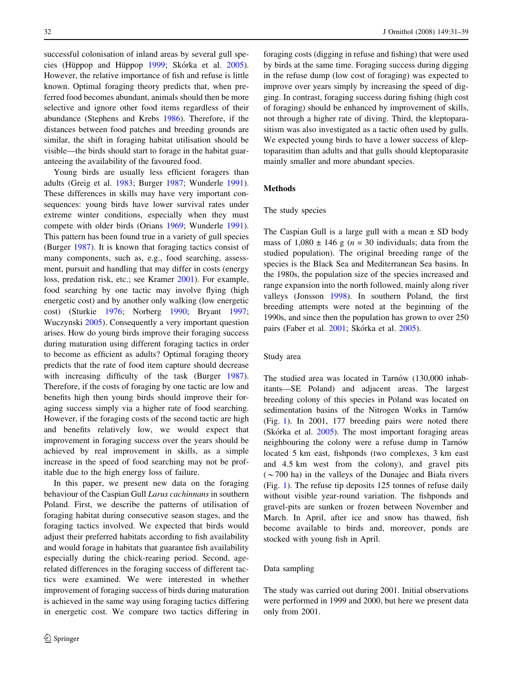successful colonisation of inland areas by several gull spe-cies (Hüppop and Hüppop [1999;](#page-8-0) Skórka et al. [2005](#page-8-0)). However, the relative importance of fish and refuse is little known. Optimal foraging theory predicts that, when preferred food becomes abundant, animals should then be more selective and ignore other food items regardless of their abundance (Stephens and Krebs [1986](#page-8-0)). Therefore, if the distances between food patches and breeding grounds are similar, the shift in foraging habitat utilisation should be visible—the birds should start to forage in the habitat guaranteeing the availability of the favoured food.

Young birds are usually less efficient foragers than adults (Greig et al. [1983](#page-8-0); Burger [1987;](#page-8-0) Wunderle [1991](#page-8-0)). These differences in skills may have very important consequences: young birds have lower survival rates under extreme winter conditions, especially when they must compete with older birds (Orians [1969](#page-8-0); Wunderle [1991](#page-8-0)). This pattern has been found true in a variety of gull species (Burger [1987](#page-8-0)). It is known that foraging tactics consist of many components, such as, e.g., food searching, assessment, pursuit and handling that may differ in costs (energy loss, predation risk, etc.; see Kramer [2001\)](#page-8-0). For example, food searching by one tactic may involve flying (high energetic cost) and by another only walking (low energetic cost) (Sturkie [1976;](#page-8-0) Norberg [1990](#page-8-0); Bryant [1997](#page-8-0); Wuczynski [2005\)](#page-8-0). Consequently a very important question arises. How do young birds improve their foraging success during maturation using different foraging tactics in order to become as efficient as adults? Optimal foraging theory predicts that the rate of food item capture should decrease with increasing difficulty of the task (Burger [1987](#page-8-0)). Therefore, if the costs of foraging by one tactic are low and benefits high then young birds should improve their foraging success simply via a higher rate of food searching. However, if the foraging costs of the second tactic are high and benefits relatively low, we would expect that improvement in foraging success over the years should be achieved by real improvement in skills, as a simple increase in the speed of food searching may not be profitable due to the high energy loss of failure.

In this paper, we present new data on the foraging behaviour of the Caspian Gull Larus cachinnans in southern Poland. First, we describe the patterns of utilisation of foraging habitat during consecutive season stages, and the foraging tactics involved. We expected that birds would adjust their preferred habitats according to fish availability and would forage in habitats that guarantee fish availability especially during the chick-rearing period. Second, agerelated differences in the foraging success of different tactics were examined. We were interested in whether improvement of foraging success of birds during maturation is achieved in the same way using foraging tactics differing in energetic cost. We compare two tactics differing in foraging costs (digging in refuse and fishing) that were used by birds at the same time. Foraging success during digging in the refuse dump (low cost of foraging) was expected to improve over years simply by increasing the speed of digging. In contrast, foraging success during fishing (high cost of foraging) should be enhanced by improvement of skills, not through a higher rate of diving. Third, the kleptoparasitism was also investigated as a tactic often used by gulls. We expected young birds to have a lower success of kleptoparasitim than adults and that gulls should kleptoparasite mainly smaller and more abundant species.

# Methods

## The study species

The Caspian Gull is a large gull with a mean  $\pm$  SD body mass of  $1,080 \pm 146$  g ( $n = 30$  individuals; data from the studied population). The original breeding range of the species is the Black Sea and Mediterranean Sea basins. In the 1980s, the population size of the species increased and range expansion into the north followed, mainly along river valleys (Jonsson [1998](#page-8-0)). In southern Poland, the first breeding attempts were noted at the beginning of the 1990s, and since then the population has grown to over 250 pairs (Faber et al. [2001](#page-8-0); Skórka et al. [2005](#page-8-0)).

## Study area

The studied area was located in Tarnów (130,000 inhabitants—SE Poland) and adjacent areas. The largest breeding colony of this species in Poland was located on sedimentation basins of the Nitrogen Works in Tarnów (Fig. [1\)](#page-2-0). In 2001, 177 breeding pairs were noted there (Skórka et al.  $2005$ ). The most important foraging areas neighbouring the colony were a refuse dump in Tarnów located 5 km east, fishponds (two complexes, 3 km east and 4.5 km west from the colony), and gravel pits ( $\sim$ 700 ha) in the valleys of the Dunajec and Biała rivers (Fig. [1\)](#page-2-0). The refuse tip deposits 125 tonnes of refuse daily without visible year-round variation. The fishponds and gravel-pits are sunken or frozen between November and March. In April, after ice and snow has thawed, fish become available to birds and, moreover, ponds are stocked with young fish in April.

#### Data sampling

The study was carried out during 2001. Initial observations were performed in 1999 and 2000, but here we present data only from 2001.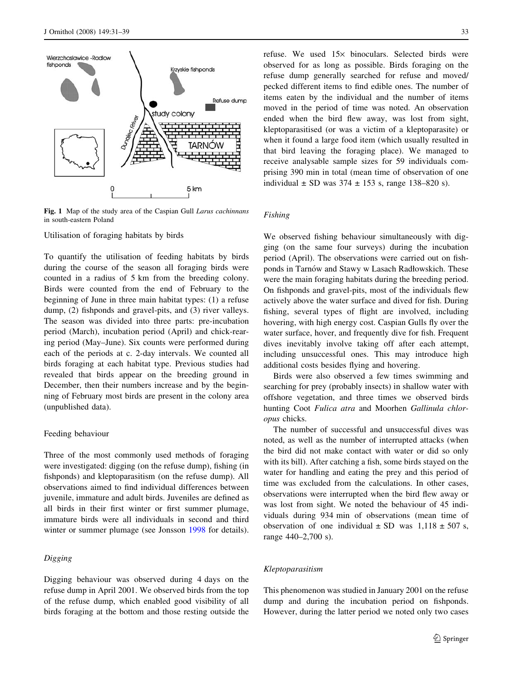<span id="page-2-0"></span>

Fig. 1 Map of the study area of the Caspian Gull Larus cachinnans in south-eastern Poland

#### Utilisation of foraging habitats by birds

To quantify the utilisation of feeding habitats by birds during the course of the season all foraging birds were counted in a radius of 5 km from the breeding colony. Birds were counted from the end of February to the beginning of June in three main habitat types: (1) a refuse dump, (2) fishponds and gravel-pits, and (3) river valleys. The season was divided into three parts: pre-incubation period (March), incubation period (April) and chick-rearing period (May–June). Six counts were performed during each of the periods at c. 2-day intervals. We counted all birds foraging at each habitat type. Previous studies had revealed that birds appear on the breeding ground in December, then their numbers increase and by the beginning of February most birds are present in the colony area (unpublished data).

### Feeding behaviour

Three of the most commonly used methods of foraging were investigated: digging (on the refuse dump), fishing (in fishponds) and kleptoparasitism (on the refuse dump). All observations aimed to find individual differences between juvenile, immature and adult birds. Juveniles are defined as all birds in their first winter or first summer plumage, immature birds were all individuals in second and third winter or summer plumage (see Jonsson [1998](#page-8-0) for details).

## Digging

Digging behaviour was observed during 4 days on the refuse dump in April 2001. We observed birds from the top of the refuse dump, which enabled good visibility of all birds foraging at the bottom and those resting outside the refuse. We used  $15\times$  binoculars. Selected birds were observed for as long as possible. Birds foraging on the refuse dump generally searched for refuse and moved/ pecked different items to find edible ones. The number of items eaten by the individual and the number of items moved in the period of time was noted. An observation ended when the bird flew away, was lost from sight, kleptoparasitised (or was a victim of a kleptoparasite) or when it found a large food item (which usually resulted in that bird leaving the foraging place). We managed to receive analysable sample sizes for 59 individuals comprising 390 min in total (mean time of observation of one individual  $\pm$  SD was 374  $\pm$  153 s, range 138–820 s).

## Fishing

We observed fishing behaviour simultaneously with digging (on the same four surveys) during the incubation period (April). The observations were carried out on fishponds in Tarnów and Stawy w Lasach Radłowskich. These were the main foraging habitats during the breeding period. On fishponds and gravel-pits, most of the individuals flew actively above the water surface and dived for fish. During fishing, several types of flight are involved, including hovering, with high energy cost. Caspian Gulls fly over the water surface, hover, and frequently dive for fish. Frequent dives inevitably involve taking off after each attempt, including unsuccessful ones. This may introduce high additional costs besides flying and hovering.

Birds were also observed a few times swimming and searching for prey (probably insects) in shallow water with offshore vegetation, and three times we observed birds hunting Coot Fulica atra and Moorhen Gallinula chloropus chicks.

The number of successful and unsuccessful dives was noted, as well as the number of interrupted attacks (when the bird did not make contact with water or did so only with its bill). After catching a fish, some birds stayed on the water for handling and eating the prey and this period of time was excluded from the calculations. In other cases, observations were interrupted when the bird flew away or was lost from sight. We noted the behaviour of 45 individuals during 934 min of observations (mean time of observation of one individual  $\pm$  SD was 1,118  $\pm$  507 s, range 440–2,700 s).

#### Kleptoparasitism

This phenomenon was studied in January 2001 on the refuse dump and during the incubation period on fishponds. However, during the latter period we noted only two cases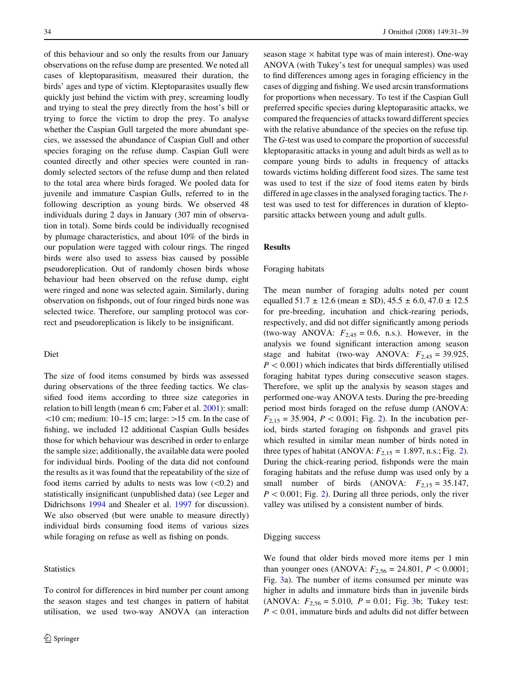of this behaviour and so only the results from our January observations on the refuse dump are presented. We noted all cases of kleptoparasitism, measured their duration, the birds' ages and type of victim. Kleptoparasites usually flew quickly just behind the victim with prey, screaming loudly and trying to steal the prey directly from the host's bill or trying to force the victim to drop the prey. To analyse whether the Caspian Gull targeted the more abundant species, we assessed the abundance of Caspian Gull and other species foraging on the refuse dump. Caspian Gull were counted directly and other species were counted in randomly selected sectors of the refuse dump and then related to the total area where birds foraged. We pooled data for juvenile and immature Caspian Gulls, referred to in the following description as young birds. We observed 48 individuals during 2 days in January (307 min of observation in total). Some birds could be individually recognised by plumage characteristics, and about 10% of the birds in our population were tagged with colour rings. The ringed birds were also used to assess bias caused by possible pseudoreplication. Out of randomly chosen birds whose behaviour had been observed on the refuse dump, eight were ringed and none was selected again. Similarly, during observation on fishponds, out of four ringed birds none was selected twice. Therefore, our sampling protocol was correct and pseudoreplication is likely to be insignificant.

## Diet

The size of food items consumed by birds was assessed during observations of the three feeding tactics. We classified food items according to three size categories in relation to bill length (mean 6 cm; Faber et al. [2001\)](#page-8-0): small:  $10$  cm; medium: 10–15 cm; large:  $>15$  cm. In the case of fishing, we included 12 additional Caspian Gulls besides those for which behaviour was described in order to enlarge the sample size; additionally, the available data were pooled for individual birds. Pooling of the data did not confound the results as it was found that the repeatability of the size of food items carried by adults to nests was low  $(<0.2$ ) and statistically insignificant (unpublished data) (see Leger and Didrichsons [1994](#page-8-0) and Shealer et al. [1997](#page-8-0) for discussion). We also observed (but were unable to measure directly) individual birds consuming food items of various sizes while foraging on refuse as well as fishing on ponds.

#### **Statistics**

To control for differences in bird number per count among the season stages and test changes in pattern of habitat utilisation, we used two-way ANOVA (an interaction season stage  $\times$  habitat type was of main interest). One-way ANOVA (with Tukey's test for unequal samples) was used to find differences among ages in foraging efficiency in the cases of digging and fishing. We used arcsin transformations for proportions when necessary. To test if the Caspian Gull preferred specific species during kleptoparasitic attacks, we compared the frequencies of attacks toward different species with the relative abundance of the species on the refuse tip. The G-test was used to compare the proportion of successful kleptoparasitic attacks in young and adult birds as well as to compare young birds to adults in frequency of attacks towards victims holding different food sizes. The same test was used to test if the size of food items eaten by birds differed in age classes in the analysed foraging tactics. The ttest was used to test for differences in duration of kleptoparsitic attacks between young and adult gulls.

#### Results

#### Foraging habitats

The mean number of foraging adults noted per count equalled  $51.7 \pm 12.6$  (mean  $\pm$  SD),  $45.5 \pm 6.0$ ,  $47.0 \pm 12.5$ for pre-breeding, incubation and chick-rearing periods, respectively, and did not differ significantly among periods (two-way ANOVA:  $F_{2,45} = 0.6$ , n.s.). However, in the analysis we found significant interaction among season stage and habitat (two-way ANOVA:  $F_{2,45} = 39.925$ ,  $P < 0.001$ ) which indicates that birds differentially utilised foraging habitat types during consecutive season stages. Therefore, we split up the analysis by season stages and performed one-way ANOVA tests. During the pre-breeding period most birds foraged on the refuse dump (ANOVA:  $F_{2,15} = 35.904$  $F_{2,15} = 35.904$  $F_{2,15} = 35.904$ ,  $P < 0.001$ ; Fig. 2). In the incubation period, birds started foraging on fishponds and gravel pits which resulted in similar mean number of birds noted in three types of habitat (ANOVA:  $F_{2,15} = 1.897$  $F_{2,15} = 1.897$  $F_{2,15} = 1.897$ , n.s.; Fig. 2). During the chick-rearing period, fishponds were the main foraging habitats and the refuse dump was used only by a small number of birds (ANOVA:  $F_{2,15} = 35.147$ ,  $P < 0.001$ ; Fig. [2\)](#page-4-0). During all three periods, only the river valley was utilised by a consistent number of birds.

#### Digging success

We found that older birds moved more items per 1 min than younger ones (ANOVA:  $F_{2,56} = 24.801$ ,  $P < 0.0001$ ; Fig. [3](#page-5-0)a). The number of items consumed per minute was higher in adults and immature birds than in juvenile birds (ANOVA:  $F_{2,56} = 5.010$ ,  $P = 0.01$ ; Fig. [3](#page-5-0)b; Tukey test:  $P < 0.01$ , immature birds and adults did not differ between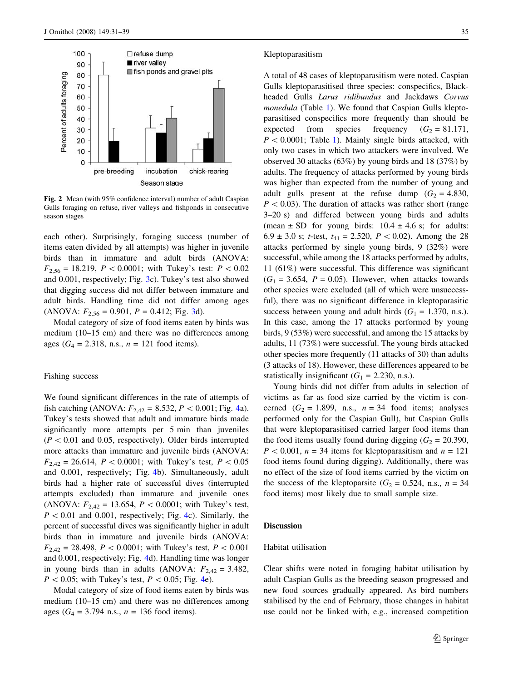<span id="page-4-0"></span>

Fig. 2 Mean (with 95% confidence interval) number of adult Caspian Gulls foraging on refuse, river valleys and fishponds in consecutive season stages

each other). Surprisingly, foraging success (number of items eaten divided by all attempts) was higher in juvenile birds than in immature and adult birds (ANOVA:  $F_{2,56} = 18.219$ ,  $P \lt 0.0001$ ; with Tukey's test:  $P \lt 0.02$ and 0.001, respectively; Fig. [3](#page-5-0)c). Tukey's test also showed that digging success did not differ between immature and adult birds. Handling time did not differ among ages (ANOVA:  $F_{2,56} = 0.901$ ,  $P = 0.412$ ; Fig. [3](#page-5-0)d).

Modal category of size of food items eaten by birds was medium (10–15 cm) and there was no differences among ages ( $G_4 = 2.318$ , n.s.,  $n = 121$  food items).

#### Fishing success

We found significant differences in the rate of attempts of fish catching (ANOVA:  $F_{2,42} = 8.532, P < 0.001$ ; Fig. [4a](#page-6-0)). Tukey's tests showed that adult and immature birds made significantly more attempts per 5 min than juveniles  $(P < 0.01$  and 0.05, respectively). Older birds interrupted more attacks than immature and juvenile birds (ANOVA:  $F_{2,42} = 26.614$ ,  $P \lt 0.0001$ ; with Tukey's test,  $P \lt 0.05$ and 0.001, respectively; Fig. [4](#page-6-0)b). Simultaneously, adult birds had a higher rate of successful dives (interrupted attempts excluded) than immature and juvenile ones (ANOVA:  $F_{2,42} = 13.654$ ,  $P < 0.0001$ ; with Tukey's test,  $P < 0.01$  and 0.001, respectively; Fig. [4c](#page-6-0)). Similarly, the percent of successful dives was significantly higher in adult birds than in immature and juvenile birds (ANOVA:  $F_{2,42} = 28.498$ ,  $P \lt 0.0001$ ; with Tukey's test,  $P \lt 0.001$ and 0.001, respectively; Fig. [4d](#page-6-0)). Handling time was longer in young birds than in adults (ANOVA:  $F_{2,42} = 3.482$ ,  $P < 0.05$ ; with Tukey's test,  $P < 0.05$ ; Fig. [4](#page-6-0)e).

Modal category of size of food items eaten by birds was medium (10–15 cm) and there was no differences among ages ( $G_4 = 3.794$  n.s.,  $n = 136$  food items).

#### Kleptoparasitism

A total of 48 cases of kleptoparasitism were noted. Caspian Gulls kleptoparasitised three species: conspecifics, Blackheaded Gulls Larus ridibundus and Jackdaws Corvus monedula (Table [1](#page-6-0)). We found that Caspian Gulls kleptoparasitised conspecifics more frequently than should be expected from species frequency  $(G_2 = 81.171,$  $P < 0.0001$  $P < 0.0001$ ; Table 1). Mainly single birds attacked, with only two cases in which two attackers were involved. We observed 30 attacks (63%) by young birds and 18 (37%) by adults. The frequency of attacks performed by young birds was higher than expected from the number of young and adult gulls present at the refuse dump  $(G_2 = 4.830)$ ,  $P < 0.03$ ). The duration of attacks was rather short (range 3–20 s) and differed between young birds and adults (mean  $\pm$  SD for young birds: 10.4  $\pm$  4.6 s; for adults: 6.9  $\pm$  3.0 s; *t*-test,  $t_{41}$  = 2.520, *P* < 0.02). Among the 28 attacks performed by single young birds, 9 (32%) were successful, while among the 18 attacks performed by adults, 11 (61%) were successful. This difference was significant  $(G_1 = 3.654, P = 0.05)$ . However, when attacks towards other species were excluded (all of which were unsuccessful), there was no significant difference in kleptoparasitic success between young and adult birds ( $G_1 = 1.370$ , n.s.). In this case, among the 17 attacks performed by young birds, 9 (53%) were successful, and among the 15 attacks by adults, 11 (73%) were successful. The young birds attacked other species more frequently (11 attacks of 30) than adults (3 attacks of 18). However, these differences appeared to be statistically insignificant ( $G_1 = 2.230$ , n.s.).

Young birds did not differ from adults in selection of victims as far as food size carried by the victim is concerned  $(G_2 = 1.899, n.s., n = 34$  food items; analyses performed only for the Caspian Gull), but Caspian Gulls that were kleptoparasitised carried larger food items than the food items usually found during digging  $(G_2 = 20.390)$ ,  $P < 0.001$ ,  $n = 34$  items for kleptoparasitism and  $n = 121$ food items found during digging). Additionally, there was no effect of the size of food items carried by the victim on the success of the kleptoparsite ( $G_2 = 0.524$ , n.s.,  $n = 34$ food items) most likely due to small sample size.

#### Discussion

#### Habitat utilisation

Clear shifts were noted in foraging habitat utilisation by adult Caspian Gulls as the breeding season progressed and new food sources gradually appeared. As bird numbers stabilised by the end of February, those changes in habitat use could not be linked with, e.g., increased competition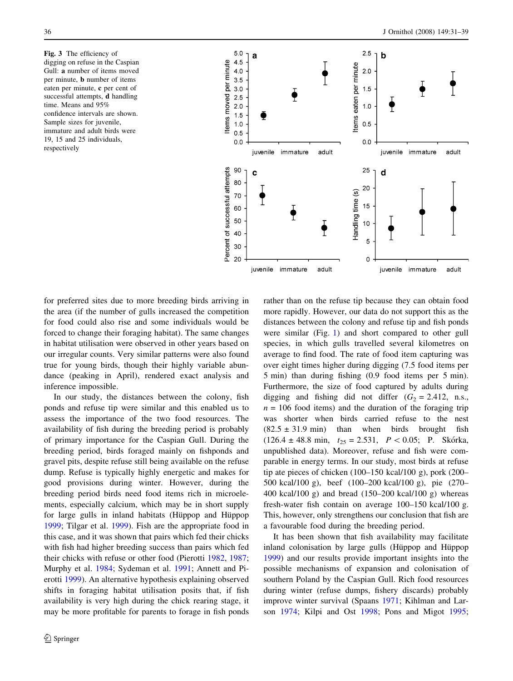<span id="page-5-0"></span>Fig. 3 The efficiency of digging on refuse in the Caspian Gull: a number of items moved per minute, b number of items eaten per minute, c per cent of successful attempts, d handling time. Means and 95% confidence intervals are shown. Sample sizes for juvenile, immature and adult birds were 19, 15 and 25 individuals, respectively



for preferred sites due to more breeding birds arriving in the area (if the number of gulls increased the competition for food could also rise and some individuals would be forced to change their foraging habitat). The same changes in habitat utilisation were observed in other years based on our irregular counts. Very similar patterns were also found true for young birds, though their highly variable abundance (peaking in April), rendered exact analysis and inference impossible.

In our study, the distances between the colony, fish ponds and refuse tip were similar and this enabled us to assess the importance of the two food resources. The availability of fish during the breeding period is probably of primary importance for the Caspian Gull. During the breeding period, birds foraged mainly on fishponds and gravel pits, despite refuse still being available on the refuse dump. Refuse is typically highly energetic and makes for good provisions during winter. However, during the breeding period birds need food items rich in microelements, especially calcium, which may be in short supply for large gulls in inland habitats (Hüppop and Hüppop [1999;](#page-8-0) Tilgar et al. [1999](#page-8-0)). Fish are the appropriate food in this case, and it was shown that pairs which fed their chicks with fish had higher breeding success than pairs which fed their chicks with refuse or other food (Pierotti [1982,](#page-8-0) [1987](#page-8-0); Murphy et al. [1984;](#page-8-0) Sydeman et al. [1991](#page-8-0); Annett and Pierotti [1999\)](#page-8-0). An alternative hypothesis explaining observed shifts in foraging habitat utilisation posits that, if fish availability is very high during the chick rearing stage, it may be more profitable for parents to forage in fish ponds rather than on the refuse tip because they can obtain food more rapidly. However, our data do not support this as the distances between the colony and refuse tip and fish ponds were similar (Fig. [1](#page-2-0)) and short compared to other gull species, in which gulls travelled several kilometres on average to find food. The rate of food item capturing was over eight times higher during digging (7.5 food items per 5 min) than during fishing (0.9 food items per 5 min). Furthermore, the size of food captured by adults during digging and fishing did not differ  $(G_2 = 2.412, n.s.,$  $n = 106$  food items) and the duration of the foraging trip was shorter when birds carried refuse to the nest  $(82.5 \pm 31.9 \text{ min})$  than when birds brought fish  $(126.4 \pm 48.8 \text{ min}, t_{25} = 2.531, P < 0.05; P. Skórka,$ unpublished data). Moreover, refuse and fish were comparable in energy terms. In our study, most birds at refuse tip ate pieces of chicken (100–150 kcal/100 g), pork (200– 500 kcal/100 g), beef (100–200 kcal/100 g), pie (270– 400 kcal/100 g) and bread (150–200 kcal/100 g) whereas fresh-water fish contain on average 100–150 kcal/100 g. This, however, only strengthens our conclusion that fish are a favourable food during the breeding period.

It has been shown that fish availability may facilitate inland colonisation by large gulls (Hüppop and Hüppop [1999](#page-8-0)) and our results provide important insights into the possible mechanisms of expansion and colonisation of southern Poland by the Caspian Gull. Rich food resources during winter (refuse dumps, fishery discards) probably improve winter survival (Spaans [1971;](#page-8-0) Kihlman and Larson [1974](#page-8-0); Kilpi and Ost [1998;](#page-8-0) Pons and Migot [1995](#page-8-0);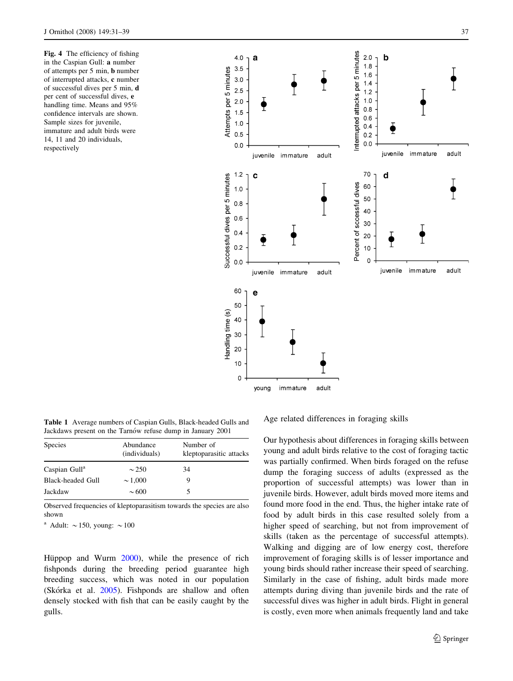<span id="page-6-0"></span>Fig. 4 The efficiency of fishing in the Caspian Gull: a number of attempts per 5 min, b number of interrupted attacks, c number of successful dives per 5 min, d per cent of successful dives, e handling time. Means and 95% confidence intervals are shown. Sample sizes for juvenile, immature and adult birds were 14, 11 and 20 individuals, respectively



Table 1 Average numbers of Caspian Gulls, Black-headed Gulls and Jackdaws present on the Tarnów refuse dump in January 2001

| Abundance<br>(individuals) | Number of<br>kleptoparasitic attacks |
|----------------------------|--------------------------------------|
| $\sim$ 250                 | 34                                   |
| $\sim 1,000$               | 9                                    |
| $\sim 600$                 |                                      |
|                            |                                      |

Observed frequencies of kleptoparasitism towards the species are also shown

<sup>a</sup> Adult:  $\sim$  150, young:  $\sim$  100

Hüppop and Wurm  $2000$ , while the presence of rich fishponds during the breeding period guarantee high breeding success, which was noted in our population (Skórka et al.  $2005$ ). Fishponds are shallow and often densely stocked with fish that can be easily caught by the gulls.

Age related differences in foraging skills

Our hypothesis about differences in foraging skills between young and adult birds relative to the cost of foraging tactic was partially confirmed. When birds foraged on the refuse dump the foraging success of adults (expressed as the proportion of successful attempts) was lower than in juvenile birds. However, adult birds moved more items and found more food in the end. Thus, the higher intake rate of food by adult birds in this case resulted solely from a higher speed of searching, but not from improvement of skills (taken as the percentage of successful attempts). Walking and digging are of low energy cost, therefore improvement of foraging skills is of lesser importance and young birds should rather increase their speed of searching. Similarly in the case of fishing, adult birds made more attempts during diving than juvenile birds and the rate of successful dives was higher in adult birds. Flight in general is costly, even more when animals frequently land and take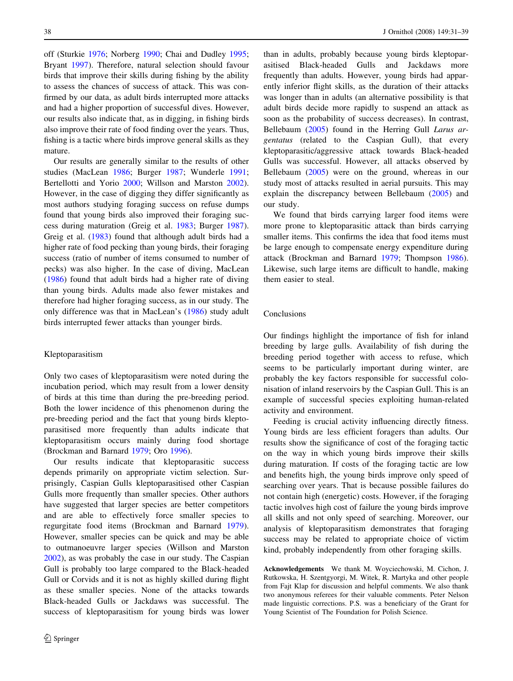off (Sturkie [1976](#page-8-0); Norberg [1990;](#page-8-0) Chai and Dudley [1995](#page-8-0); Bryant [1997\)](#page-8-0). Therefore, natural selection should favour birds that improve their skills during fishing by the ability to assess the chances of success of attack. This was confirmed by our data, as adult birds interrupted more attacks and had a higher proportion of successful dives. However, our results also indicate that, as in digging, in fishing birds also improve their rate of food finding over the years. Thus, fishing is a tactic where birds improve general skills as they mature.

Our results are generally similar to the results of other studies (MacLean [1986](#page-8-0); Burger [1987;](#page-8-0) Wunderle [1991](#page-8-0); Bertellotti and Yorio [2000](#page-8-0); Willson and Marston [2002](#page-8-0)). However, in the case of digging they differ significantly as most authors studying foraging success on refuse dumps found that young birds also improved their foraging success during maturation (Greig et al. [1983;](#page-8-0) Burger [1987](#page-8-0)). Greig et al. ([1983\)](#page-8-0) found that although adult birds had a higher rate of food pecking than young birds, their foraging success (ratio of number of items consumed to number of pecks) was also higher. In the case of diving, MacLean [\(1986](#page-8-0)) found that adult birds had a higher rate of diving than young birds. Adults made also fewer mistakes and therefore had higher foraging success, as in our study. The only difference was that in MacLean's [\(1986](#page-8-0)) study adult birds interrupted fewer attacks than younger birds.

#### Kleptoparasitism

Only two cases of kleptoparasitism were noted during the incubation period, which may result from a lower density of birds at this time than during the pre-breeding period. Both the lower incidence of this phenomenon during the pre-breeding period and the fact that young birds kleptoparasitised more frequently than adults indicate that kleptoparasitism occurs mainly during food shortage (Brockman and Barnard [1979;](#page-8-0) Oro [1996\)](#page-8-0).

Our results indicate that kleptoparasitic success depends primarily on appropriate victim selection. Surprisingly, Caspian Gulls kleptoparasitised other Caspian Gulls more frequently than smaller species. Other authors have suggested that larger species are better competitors and are able to effectively force smaller species to regurgitate food items (Brockman and Barnard [1979](#page-8-0)). However, smaller species can be quick and may be able to outmanoeuvre larger species (Willson and Marston [2002\)](#page-8-0), as was probably the case in our study. The Caspian Gull is probably too large compared to the Black-headed Gull or Corvids and it is not as highly skilled during flight as these smaller species. None of the attacks towards Black-headed Gulls or Jackdaws was successful. The success of kleptoparasitism for young birds was lower

than in adults, probably because young birds kleptoparasitised Black-headed Gulls and Jackdaws more frequently than adults. However, young birds had apparently inferior flight skills, as the duration of their attacks was longer than in adults (an alternative possibility is that adult birds decide more rapidly to suspend an attack as soon as the probability of success decreases). In contrast, Bellebaum ([2005\)](#page-8-0) found in the Herring Gull Larus argentatus (related to the Caspian Gull), that every kleptoparasitic/aggressive attack towards Black-headed Gulls was successful. However, all attacks observed by Bellebaum [\(2005](#page-8-0)) were on the ground, whereas in our study most of attacks resulted in aerial pursuits. This may explain the discrepancy between Bellebaum [\(2005](#page-8-0)) and our study.

We found that birds carrying larger food items were more prone to kleptoparasitic attack than birds carrying smaller items. This confirms the idea that food items must be large enough to compensate energy expenditure during attack (Brockman and Barnard [1979;](#page-8-0) Thompson [1986](#page-8-0)). Likewise, such large items are difficult to handle, making them easier to steal.

## Conclusions

Our findings highlight the importance of fish for inland breeding by large gulls. Availability of fish during the breeding period together with access to refuse, which seems to be particularly important during winter, are probably the key factors responsible for successful colonisation of inland reservoirs by the Caspian Gull. This is an example of successful species exploiting human-related activity and environment.

Feeding is crucial activity influencing directly fitness. Young birds are less efficient foragers than adults. Our results show the significance of cost of the foraging tactic on the way in which young birds improve their skills during maturation. If costs of the foraging tactic are low and benefits high, the young birds improve only speed of searching over years. That is because possible failures do not contain high (energetic) costs. However, if the foraging tactic involves high cost of failure the young birds improve all skills and not only speed of searching. Moreover, our analysis of kleptoparasitism demonstrates that foraging success may be related to appropriate choice of victim kind, probably independently from other foraging skills.

Acknowledgements We thank M. Woyciechowski, M. Cichon, J. Rutkowska, H. Szentgyorgi, M. Witek, R. Martyka and other people from Fajt Klap for discussion and helpful comments. We also thank two anonymous referees for their valuable comments. Peter Nelson made linguistic corrections. P.S. was a beneficiary of the Grant for Young Scientist of The Foundation for Polish Science.